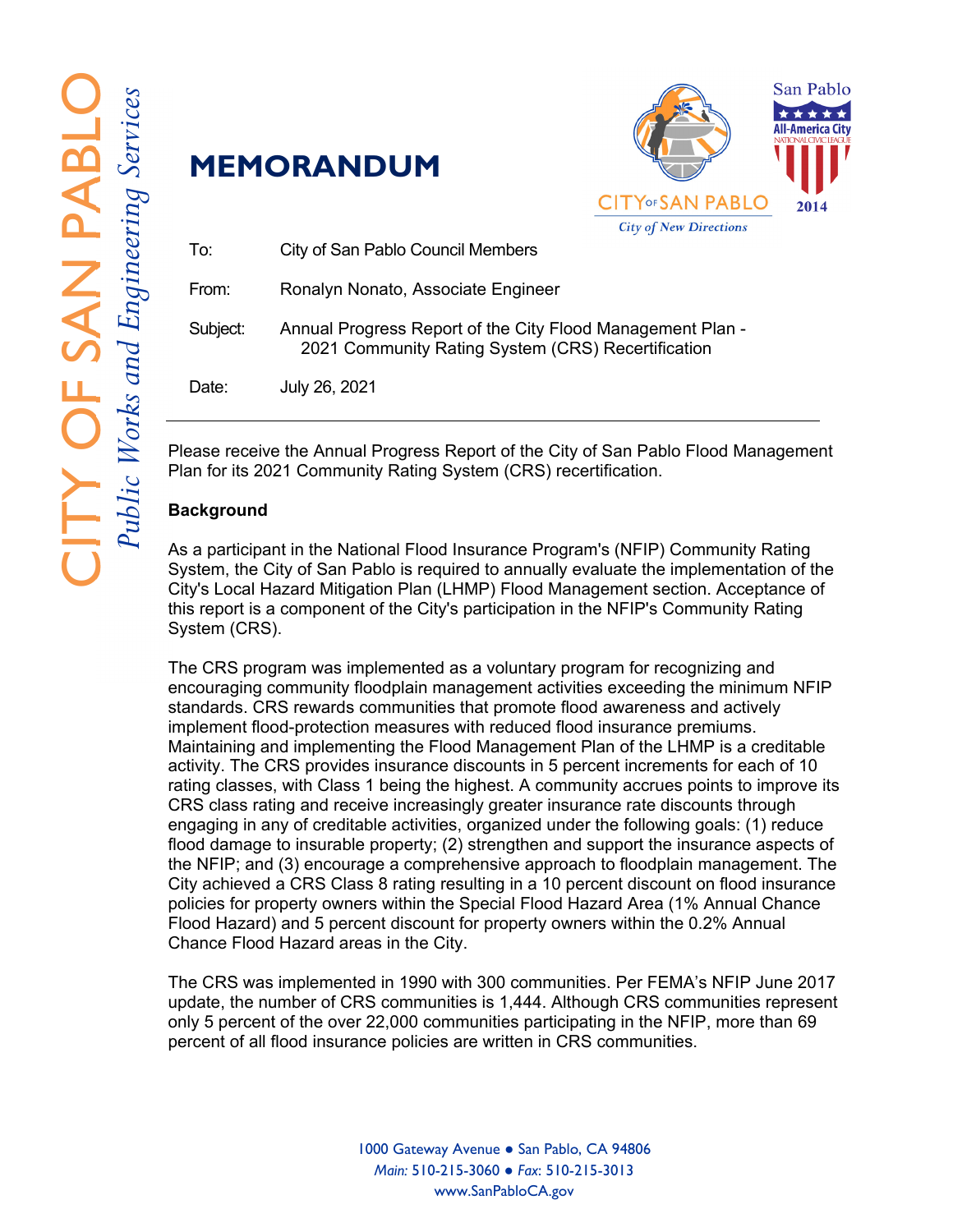



| To:      | City of San Pablo Council Members                                                                                |
|----------|------------------------------------------------------------------------------------------------------------------|
| From:    | Ronalyn Nonato, Associate Engineer                                                                               |
| Subject: | Annual Progress Report of the City Flood Management Plan -<br>2021 Community Rating System (CRS) Recertification |
| Date:    | July 26, 2021                                                                                                    |

Please receive the Annual Progress Report of the City of San Pablo Flood Management Plan for its 2021 Community Rating System (CRS) recertification.

# **Background**

As a participant in the National Flood Insurance Program's (NFIP) Community Rating System, the City of San Pablo is required to annually evaluate the implementation of the City's Local Hazard Mitigation Plan (LHMP) Flood Management section. Acceptance of this report is a component of the City's participation in the NFIP's Community Rating System (CRS).

The CRS program was implemented as a voluntary program for recognizing and encouraging community floodplain management activities exceeding the minimum NFIP standards. CRS rewards communities that promote flood awareness and actively implement flood-protection measures with reduced flood insurance premiums. Maintaining and implementing the Flood Management Plan of the LHMP is a creditable activity. The CRS provides insurance discounts in 5 percent increments for each of 10 rating classes, with Class 1 being the highest. A community accrues points to improve its CRS class rating and receive increasingly greater insurance rate discounts through engaging in any of creditable activities, organized under the following goals: (1) reduce flood damage to insurable property; (2) strengthen and support the insurance aspects of the NFIP; and (3) encourage a comprehensive approach to floodplain management. The City achieved a CRS Class 8 rating resulting in a 10 percent discount on flood insurance policies for property owners within the Special Flood Hazard Area (1% Annual Chance Flood Hazard) and 5 percent discount for property owners within the 0.2% Annual Chance Flood Hazard areas in the City.

The CRS was implemented in 1990 with 300 communities. Per FEMA's NFIP June 2017 update, the number of CRS communities is 1,444. Although CRS communities represent only 5 percent of the over 22,000 communities participating in the NFIP, more than 69 percent of all flood insurance policies are written in CRS communities.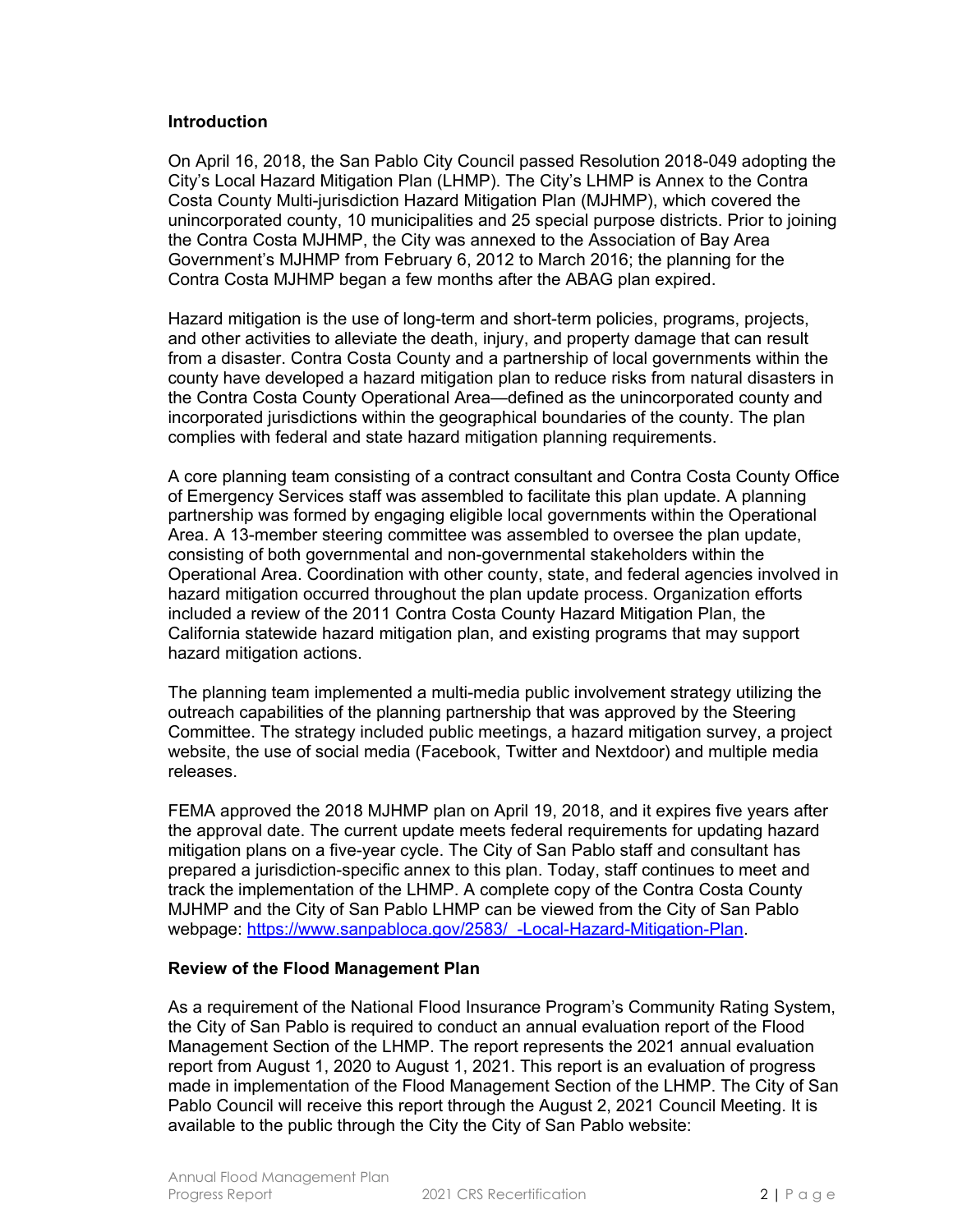### **Introduction**

On April 16, 2018, the San Pablo City Council passed Resolution 2018-049 adopting the City's Local Hazard Mitigation Plan (LHMP). The City's LHMP is Annex to the Contra Costa County Multi-jurisdiction Hazard Mitigation Plan (MJHMP), which covered the unincorporated county, 10 municipalities and 25 special purpose districts. Prior to joining the Contra Costa MJHMP, the City was annexed to the Association of Bay Area Government's MJHMP from February 6, 2012 to March 2016; the planning for the Contra Costa MJHMP began a few months after the ABAG plan expired.

Hazard mitigation is the use of long-term and short-term policies, programs, projects, and other activities to alleviate the death, injury, and property damage that can result from a disaster. Contra Costa County and a partnership of local governments within the county have developed a hazard mitigation plan to reduce risks from natural disasters in the Contra Costa County Operational Area—defined as the unincorporated county and incorporated jurisdictions within the geographical boundaries of the county. The plan complies with federal and state hazard mitigation planning requirements.

A core planning team consisting of a contract consultant and Contra Costa County Office of Emergency Services staff was assembled to facilitate this plan update. A planning partnership was formed by engaging eligible local governments within the Operational Area. A 13-member steering committee was assembled to oversee the plan update, consisting of both governmental and non-governmental stakeholders within the Operational Area. Coordination with other county, state, and federal agencies involved in hazard mitigation occurred throughout the plan update process. Organization efforts included a review of the 2011 Contra Costa County Hazard Mitigation Plan, the California statewide hazard mitigation plan, and existing programs that may support hazard mitigation actions.

The planning team implemented a multi-media public involvement strategy utilizing the outreach capabilities of the planning partnership that was approved by the Steering Committee. The strategy included public meetings, a hazard mitigation survey, a project website, the use of social media (Facebook, Twitter and Nextdoor) and multiple media releases.

FEMA approved the 2018 MJHMP plan on April 19, 2018, and it expires five years after the approval date. The current update meets federal requirements for updating hazard mitigation plans on a five-year cycle. The City of San Pablo staff and consultant has prepared a jurisdiction-specific annex to this plan. Today, staff continues to meet and track the implementation of the LHMP. A complete copy of the Contra Costa County MJHMP and the City of San Pablo LHMP can be viewed from the City of San Pablo webpage: https://www.sanpabloca.gov/2583/ -Local-Hazard-Mitigation-Plan.

## **Review of the Flood Management Plan**

As a requirement of the National Flood Insurance Program's Community Rating System, the City of San Pablo is required to conduct an annual evaluation report of the Flood Management Section of the LHMP. The report represents the 2021 annual evaluation report from August 1, 2020 to August 1, 2021. This report is an evaluation of progress made in implementation of the Flood Management Section of the LHMP. The City of San Pablo Council will receive this report through the August 2, 2021 Council Meeting. It is available to the public through the City the City of San Pablo website: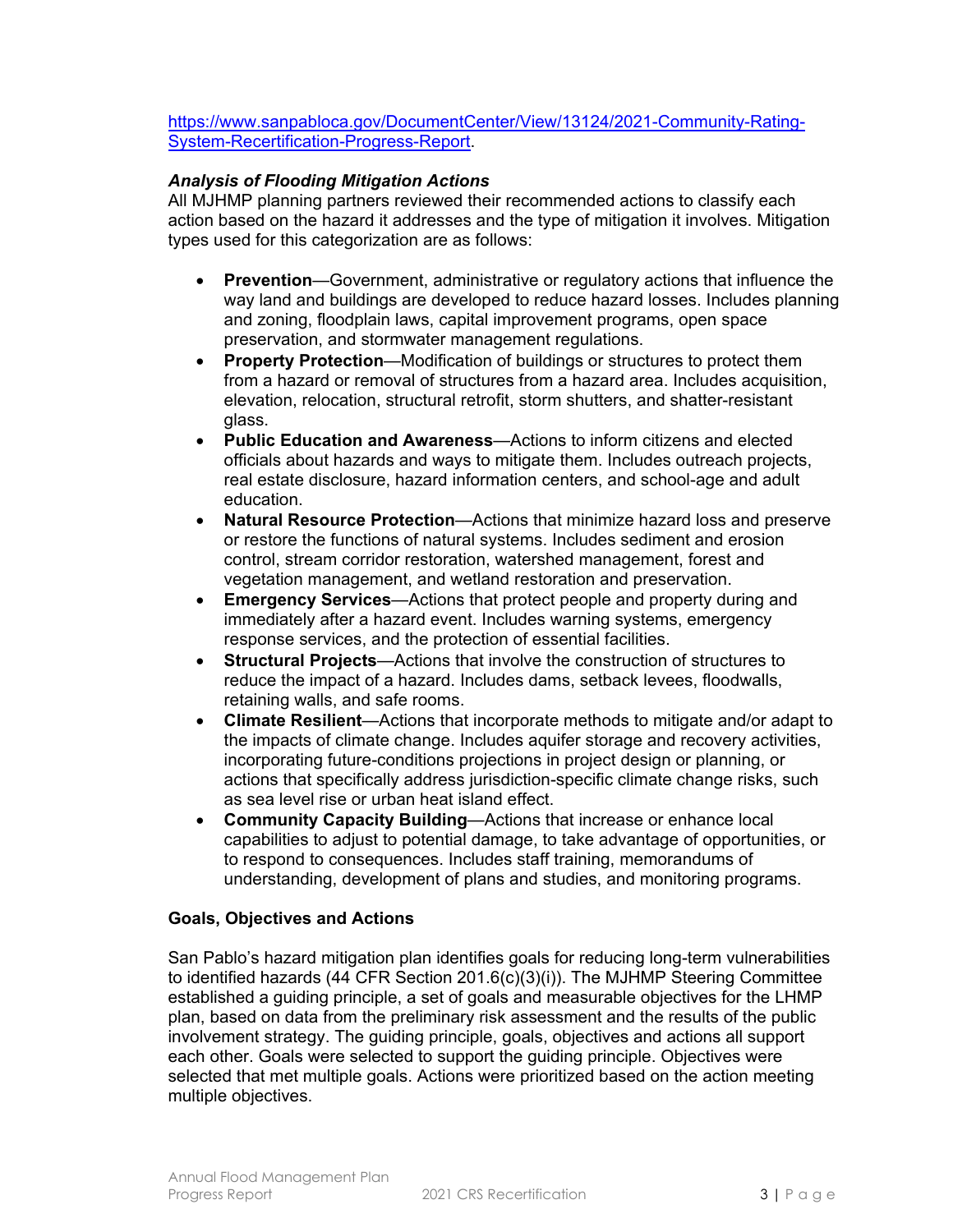https://www.sanpabloca.gov/DocumentCenter/View/13124/2021-Community-Rating-System-Recertification-Progress-Report.

### *Analysis of Flooding Mitigation Actions*

All MJHMP planning partners reviewed their recommended actions to classify each action based on the hazard it addresses and the type of mitigation it involves. Mitigation types used for this categorization are as follows:

- **Prevention**—Government, administrative or regulatory actions that influence the way land and buildings are developed to reduce hazard losses. Includes planning and zoning, floodplain laws, capital improvement programs, open space preservation, and stormwater management regulations.
- **Property Protection**—Modification of buildings or structures to protect them from a hazard or removal of structures from a hazard area. Includes acquisition, elevation, relocation, structural retrofit, storm shutters, and shatter-resistant glass.
- **Public Education and Awareness**—Actions to inform citizens and elected officials about hazards and ways to mitigate them. Includes outreach projects, real estate disclosure, hazard information centers, and school-age and adult education.
- **Natural Resource Protection**—Actions that minimize hazard loss and preserve or restore the functions of natural systems. Includes sediment and erosion control, stream corridor restoration, watershed management, forest and vegetation management, and wetland restoration and preservation.
- **Emergency Services**—Actions that protect people and property during and immediately after a hazard event. Includes warning systems, emergency response services, and the protection of essential facilities.
- **Structural Projects**—Actions that involve the construction of structures to reduce the impact of a hazard. Includes dams, setback levees, floodwalls, retaining walls, and safe rooms.
- **Climate Resilient**—Actions that incorporate methods to mitigate and/or adapt to the impacts of climate change. Includes aquifer storage and recovery activities, incorporating future-conditions projections in project design or planning, or actions that specifically address jurisdiction-specific climate change risks, such as sea level rise or urban heat island effect.
- **Community Capacity Building**—Actions that increase or enhance local capabilities to adjust to potential damage, to take advantage of opportunities, or to respond to consequences. Includes staff training, memorandums of understanding, development of plans and studies, and monitoring programs.

#### **Goals, Objectives and Actions**

San Pablo's hazard mitigation plan identifies goals for reducing long-term vulnerabilities to identified hazards (44 CFR Section 201.6(c)(3)(i)). The MJHMP Steering Committee established a guiding principle, a set of goals and measurable objectives for the LHMP plan, based on data from the preliminary risk assessment and the results of the public involvement strategy. The guiding principle, goals, objectives and actions all support each other. Goals were selected to support the guiding principle. Objectives were selected that met multiple goals. Actions were prioritized based on the action meeting multiple objectives.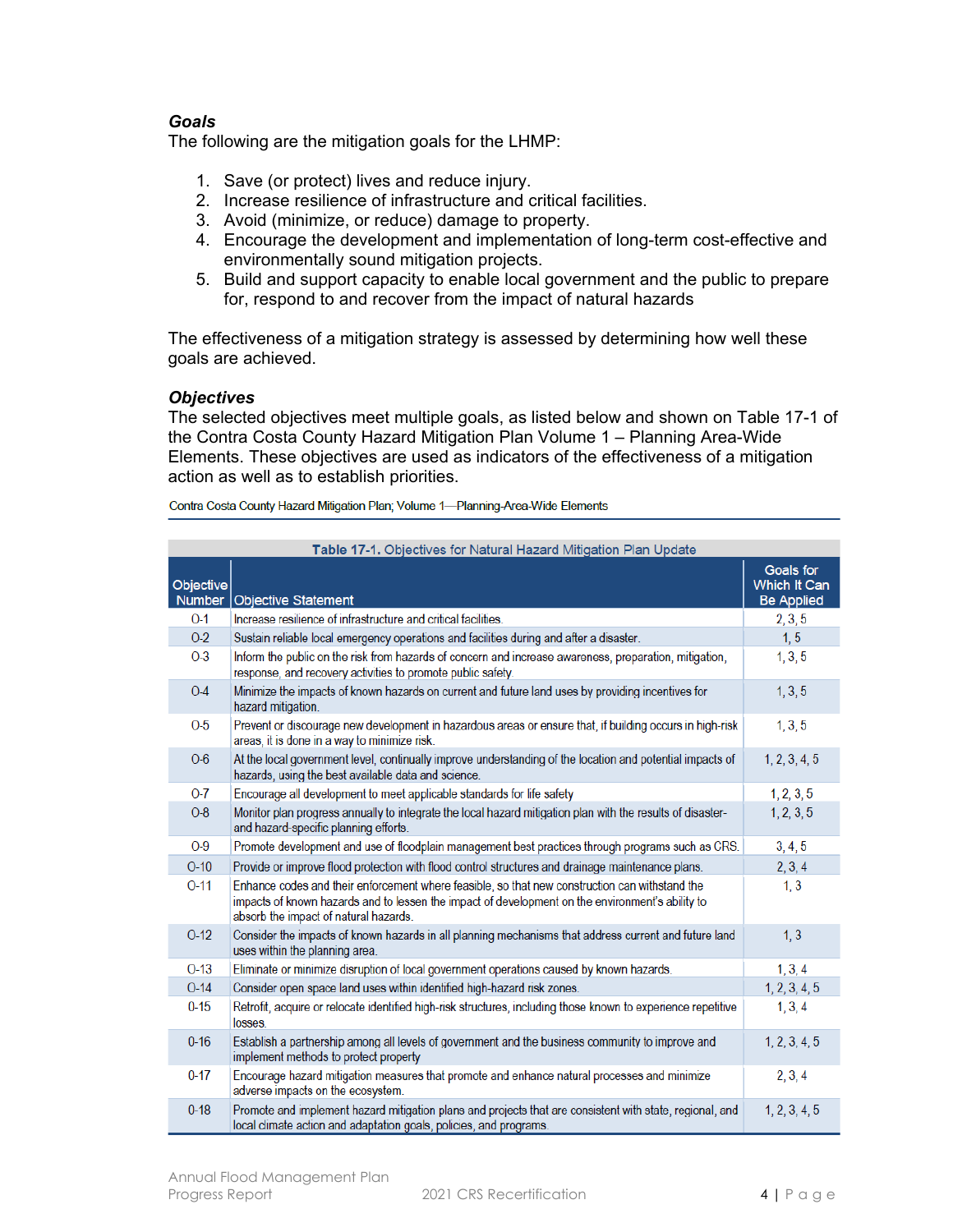### *Goals*

The following are the mitigation goals for the LHMP:

- 1. Save (or protect) lives and reduce injury.
- 2. Increase resilience of infrastructure and critical facilities.
- 3. Avoid (minimize, or reduce) damage to property.
- 4. Encourage the development and implementation of long-term cost-effective and environmentally sound mitigation projects.
- 5. Build and support capacity to enable local government and the public to prepare for, respond to and recover from the impact of natural hazards

The effectiveness of a mitigation strategy is assessed by determining how well these goals are achieved.

#### *Objectives*

The selected objectives meet multiple goals, as listed below and shown on Table 17-1 of the Contra Costa County Hazard Mitigation Plan Volume 1 – Planning Area-Wide Elements. These objectives are used as indicators of the effectiveness of a mitigation action as well as to establish priorities.

Contra Costa County Hazard Mitigation Plan; Volume 1-Planning-Area-Wide Elements

|                     | Table 17-1. Objectives for Natural Hazard Mitigation Plan Update                                                                                                                                                                            |                                                |  |  |  |  |  |
|---------------------|---------------------------------------------------------------------------------------------------------------------------------------------------------------------------------------------------------------------------------------------|------------------------------------------------|--|--|--|--|--|
| Objective<br>Number | <b>Objective Statement</b>                                                                                                                                                                                                                  | Goals for<br>Which It Can<br><b>Be Applied</b> |  |  |  |  |  |
| $O-1$               | Increase resilience of infrastructure and critical facilities.                                                                                                                                                                              | 2, 3, 5                                        |  |  |  |  |  |
| $O-2$               | Sustain reliable local emergency operations and facilities during and after a disaster.                                                                                                                                                     | 1, 5                                           |  |  |  |  |  |
| $O-3$               | Inform the public on the risk from hazards of concern and increase awareness, preparation, mitigation,<br>response, and recovery activities to promote public safety.                                                                       | 1, 3, 5                                        |  |  |  |  |  |
| $O-4$               | Minimize the impacts of known hazards on current and future land uses by providing incentives for<br>hazard mitigation.                                                                                                                     | 1, 3, 5                                        |  |  |  |  |  |
| $O-5$               | Prevent or discourage new development in hazardous areas or ensure that, if building occurs in high-risk<br>areas, it is done in a way to minimize risk.                                                                                    | 1, 3, 5                                        |  |  |  |  |  |
| $O-6$               | At the local government level, continually improve understanding of the location and potential impacts of<br>hazards, using the best available data and science.                                                                            | 1, 2, 3, 4, 5                                  |  |  |  |  |  |
| $0-7$               | Encourage all development to meet applicable standards for life safety                                                                                                                                                                      | 1, 2, 3, 5                                     |  |  |  |  |  |
| $O-8$               | Monitor plan progress annually to integrate the local hazard mitigation plan with the results of disaster-<br>and hazard-specific planning efforts.                                                                                         | 1, 2, 3, 5                                     |  |  |  |  |  |
| $O-9$               | Promote development and use of floodplain management best practices through programs such as CRS.                                                                                                                                           | 3, 4, 5                                        |  |  |  |  |  |
| $O-10$              | Provide or improve flood protection with flood control structures and drainage maintenance plans.                                                                                                                                           | 2, 3, 4                                        |  |  |  |  |  |
| $O-11$              | Enhance codes and their enforcement where feasible, so that new construction can withstand the<br>impacts of known hazards and to lessen the impact of development on the environment's ability to<br>absorb the impact of natural hazards. | 1, 3                                           |  |  |  |  |  |
| $O-12$              | Consider the impacts of known hazards in all planning mechanisms that address current and future land<br>uses within the planning area.                                                                                                     | 1, 3                                           |  |  |  |  |  |
| $O-13$              | Eliminate or minimize disruption of local government operations caused by known hazards.                                                                                                                                                    | 1, 3, 4                                        |  |  |  |  |  |
| $O-14$              | Consider open space land uses within identified high-hazard risk zones.                                                                                                                                                                     | 1, 2, 3, 4, 5                                  |  |  |  |  |  |
| $0 - 15$            | Retrofit, acquire or relocate identified high-risk structures, including those known to experience repetitive<br>losses.                                                                                                                    | 1, 3, 4                                        |  |  |  |  |  |
| $0 - 16$            | Establish a partnership among all levels of government and the business community to improve and<br>implement methods to protect property                                                                                                   | 1, 2, 3, 4, 5                                  |  |  |  |  |  |
| $0 - 17$            | Encourage hazard mitigation measures that promote and enhance natural processes and minimize<br>adverse impacts on the ecosystem.                                                                                                           | 2, 3, 4                                        |  |  |  |  |  |
| $0 - 18$            | Promote and implement hazard mitigation plans and projects that are consistent with state, regional, and<br>local climate action and adaptation goals, policies, and programs.                                                              | 1, 2, 3, 4, 5                                  |  |  |  |  |  |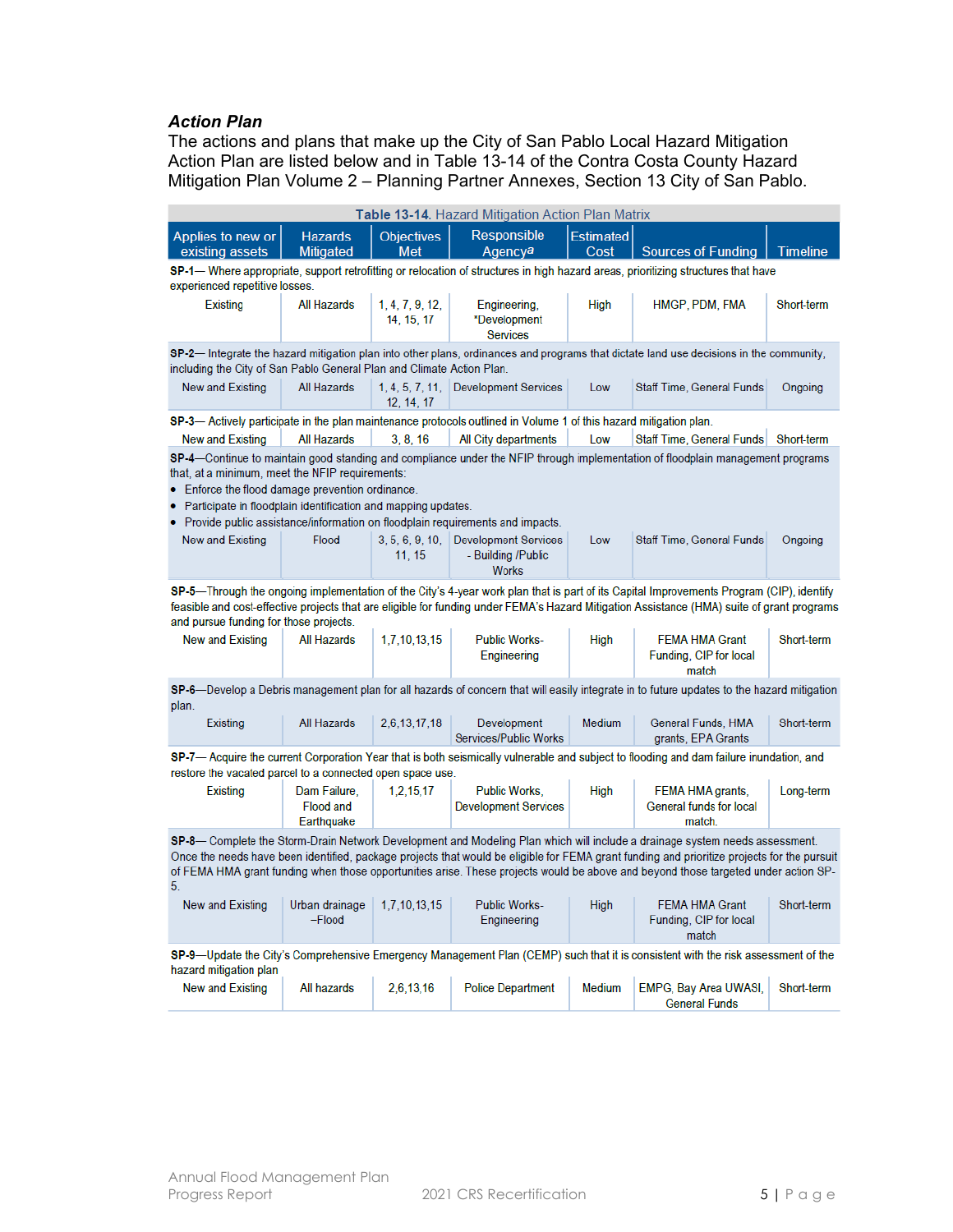## *Action Plan*

The actions and plans that make up the City of San Pablo Local Hazard Mitigation Action Plan are listed below and in Table 13-14 of the Contra Costa County Hazard Mitigation Plan Volume 2 – Planning Partner Annexes, Section 13 City of San Pablo.

| Responsible<br><b>Estimated</b><br><b>Objectives</b><br>Applies to new or<br><b>Hazards</b><br><b>Mitigated</b><br><b>Sources of Funding</b><br><b>Timeline</b><br>existing assets<br>Met<br>Agencya<br>Cost<br>SP-1- Where appropriate, support retrofitting or relocation of structures in high hazard areas, prioritizing structures that have<br>experienced repetitive losses.<br>Existing<br>1, 4, 7, 9, 12,<br>Short-term<br>All Hazards<br>Engineering,<br>High<br>HMGP, PDM, FMA<br>*Development<br>14, 15, 17<br><b>Services</b><br>SP-2— Integrate the hazard mitigation plan into other plans, ordinances and programs that dictate land use decisions in the community,<br>including the City of San Pablo General Plan and Climate Action Plan.<br>New and Existing<br>All Hazards<br>1, 4, 5, 7, 11, Development Services<br>Staff Time, General Funds<br>Ongoing<br>Low<br>12, 14, 17<br>SP-3— Actively participate in the plan maintenance protocols outlined in Volume 1 of this hazard mitigation plan.<br>All Hazards<br>3, 8, 16<br>All City departments<br>Staff Time, General Funds   Short-term<br>New and Existing<br>Low<br>SP-4—Continue to maintain good standing and compliance under the NFIP through implementation of floodplain management programs<br>that, at a minimum, meet the NFIP requirements:<br>• Enforce the flood damage prevention ordinance.<br>Participate in floodplain identification and mapping updates.<br>• Provide public assistance/information on floodplain requirements and impacts.<br>3, 5, 6, 9, 10, Development Services<br>New and Existing<br>Flood<br>Staff Time, General Funds<br>Ongoing<br>Low<br>- Building /Public<br>11, 15<br><b>Works</b><br>SP-5—Through the ongoing implementation of the City's 4-year work plan that is part of its Capital Improvements Program (CIP), identify<br>feasible and cost-effective projects that are eligible for funding under FEMA's Hazard Mitigation Assistance (HMA) suite of grant programs<br>and pursue funding for those projects.<br>1,7,10,13,15<br><b>Public Works-</b><br>Short-term<br>New and Existing<br>All Hazards<br>High<br><b>FEMA HMA Grant</b><br>Funding, CIP for local<br>Engineering<br>match<br>SP-6—Develop a Debris management plan for all hazards of concern that will easily integrate in to future updates to the hazard mitigation<br>plan.<br>All Hazards<br>Existing<br>2,6,13,17,18<br>Development<br><b>Medium</b><br>General Funds, HMA<br>Short-term<br>Services/Public Works<br>grants, EPA Grants<br>SP-7- Acquire the current Corporation Year that is both seismically vulnerable and subject to flooding and dam failure inundation, and<br>restore the vacated parcel to a connected open space use.<br>Existing<br>Dam Failure.<br>1,2,15,17<br><b>Public Works.</b><br>High<br>FEMA HMA grants,<br>Long-term<br><b>Development Services</b><br>General funds for local<br><b>Flood and</b><br>Earthquake<br>match.<br>SP-8— Complete the Storm-Drain Network Development and Modeling Plan which will include a drainage system needs assessment.<br>Once the needs have been identified, package projects that would be eligible for FEMA grant funding and prioritize projects for the pursuit<br>of FEMA HMA grant funding when those opportunities arise. These projects would be above and beyond those targeted under action SP-<br>5.<br>Public Works-<br>New and Existing<br>Urban drainage<br>1,7,10,13,15<br>High<br><b>FEMA HMA Grant</b><br>Short-term<br>-Flood<br>Funding, CIP for local<br>Engineering<br>match<br>SP-9—Update the City's Comprehensive Emergency Management Plan (CEMP) such that it is consistent with the risk assessment of the<br>hazard mitigation plan<br><b>New and Existing</b><br>All hazards<br>2,6,13,16<br><b>Police Department</b><br>Medium<br>EMPG, Bay Area UWASI,<br>Short-term<br><b>General Funds</b> | Table 13-14. Hazard Mitigation Action Plan Matrix |  |  |  |  |  |  |  |
|---------------------------------------------------------------------------------------------------------------------------------------------------------------------------------------------------------------------------------------------------------------------------------------------------------------------------------------------------------------------------------------------------------------------------------------------------------------------------------------------------------------------------------------------------------------------------------------------------------------------------------------------------------------------------------------------------------------------------------------------------------------------------------------------------------------------------------------------------------------------------------------------------------------------------------------------------------------------------------------------------------------------------------------------------------------------------------------------------------------------------------------------------------------------------------------------------------------------------------------------------------------------------------------------------------------------------------------------------------------------------------------------------------------------------------------------------------------------------------------------------------------------------------------------------------------------------------------------------------------------------------------------------------------------------------------------------------------------------------------------------------------------------------------------------------------------------------------------------------------------------------------------------------------------------------------------------------------------------------------------------------------------------------------------------------------------------------------------------------------------------------------------------------------------------------------------------------------------------------------------------------------------------------------------------------------------------------------------------------------------------------------------------------------------------------------------------------------------------------------------------------------------------------------------------------------------------------------------------------------------------------------------------------------------------------------------------------------------------------------------------------------------------------------------------------------------------------------------------------------------------------------------------------------------------------------------------------------------------------------------------------------------------------------------------------------------------------------------------------------------------------------------------------------------------------------------------------------------------------------------------------------------------------------------------------------------------------------------------------------------------------------------------------------------------------------------------------------------------------------------------------------------------------------------------------------------------------------------------------------------------------------------------------------------------------------------------------------------------------------------------------------------------------------------------------------------------------------------------------------------------------------------------------------------|---------------------------------------------------|--|--|--|--|--|--|--|
|                                                                                                                                                                                                                                                                                                                                                                                                                                                                                                                                                                                                                                                                                                                                                                                                                                                                                                                                                                                                                                                                                                                                                                                                                                                                                                                                                                                                                                                                                                                                                                                                                                                                                                                                                                                                                                                                                                                                                                                                                                                                                                                                                                                                                                                                                                                                                                                                                                                                                                                                                                                                                                                                                                                                                                                                                                                                                                                                                                                                                                                                                                                                                                                                                                                                                                                                                                                                                                                                                                                                                                                                                                                                                                                                                                                                                                                                                                                     |                                                   |  |  |  |  |  |  |  |
|                                                                                                                                                                                                                                                                                                                                                                                                                                                                                                                                                                                                                                                                                                                                                                                                                                                                                                                                                                                                                                                                                                                                                                                                                                                                                                                                                                                                                                                                                                                                                                                                                                                                                                                                                                                                                                                                                                                                                                                                                                                                                                                                                                                                                                                                                                                                                                                                                                                                                                                                                                                                                                                                                                                                                                                                                                                                                                                                                                                                                                                                                                                                                                                                                                                                                                                                                                                                                                                                                                                                                                                                                                                                                                                                                                                                                                                                                                                     |                                                   |  |  |  |  |  |  |  |
|                                                                                                                                                                                                                                                                                                                                                                                                                                                                                                                                                                                                                                                                                                                                                                                                                                                                                                                                                                                                                                                                                                                                                                                                                                                                                                                                                                                                                                                                                                                                                                                                                                                                                                                                                                                                                                                                                                                                                                                                                                                                                                                                                                                                                                                                                                                                                                                                                                                                                                                                                                                                                                                                                                                                                                                                                                                                                                                                                                                                                                                                                                                                                                                                                                                                                                                                                                                                                                                                                                                                                                                                                                                                                                                                                                                                                                                                                                                     |                                                   |  |  |  |  |  |  |  |
|                                                                                                                                                                                                                                                                                                                                                                                                                                                                                                                                                                                                                                                                                                                                                                                                                                                                                                                                                                                                                                                                                                                                                                                                                                                                                                                                                                                                                                                                                                                                                                                                                                                                                                                                                                                                                                                                                                                                                                                                                                                                                                                                                                                                                                                                                                                                                                                                                                                                                                                                                                                                                                                                                                                                                                                                                                                                                                                                                                                                                                                                                                                                                                                                                                                                                                                                                                                                                                                                                                                                                                                                                                                                                                                                                                                                                                                                                                                     |                                                   |  |  |  |  |  |  |  |
|                                                                                                                                                                                                                                                                                                                                                                                                                                                                                                                                                                                                                                                                                                                                                                                                                                                                                                                                                                                                                                                                                                                                                                                                                                                                                                                                                                                                                                                                                                                                                                                                                                                                                                                                                                                                                                                                                                                                                                                                                                                                                                                                                                                                                                                                                                                                                                                                                                                                                                                                                                                                                                                                                                                                                                                                                                                                                                                                                                                                                                                                                                                                                                                                                                                                                                                                                                                                                                                                                                                                                                                                                                                                                                                                                                                                                                                                                                                     |                                                   |  |  |  |  |  |  |  |
|                                                                                                                                                                                                                                                                                                                                                                                                                                                                                                                                                                                                                                                                                                                                                                                                                                                                                                                                                                                                                                                                                                                                                                                                                                                                                                                                                                                                                                                                                                                                                                                                                                                                                                                                                                                                                                                                                                                                                                                                                                                                                                                                                                                                                                                                                                                                                                                                                                                                                                                                                                                                                                                                                                                                                                                                                                                                                                                                                                                                                                                                                                                                                                                                                                                                                                                                                                                                                                                                                                                                                                                                                                                                                                                                                                                                                                                                                                                     |                                                   |  |  |  |  |  |  |  |
|                                                                                                                                                                                                                                                                                                                                                                                                                                                                                                                                                                                                                                                                                                                                                                                                                                                                                                                                                                                                                                                                                                                                                                                                                                                                                                                                                                                                                                                                                                                                                                                                                                                                                                                                                                                                                                                                                                                                                                                                                                                                                                                                                                                                                                                                                                                                                                                                                                                                                                                                                                                                                                                                                                                                                                                                                                                                                                                                                                                                                                                                                                                                                                                                                                                                                                                                                                                                                                                                                                                                                                                                                                                                                                                                                                                                                                                                                                                     |                                                   |  |  |  |  |  |  |  |
|                                                                                                                                                                                                                                                                                                                                                                                                                                                                                                                                                                                                                                                                                                                                                                                                                                                                                                                                                                                                                                                                                                                                                                                                                                                                                                                                                                                                                                                                                                                                                                                                                                                                                                                                                                                                                                                                                                                                                                                                                                                                                                                                                                                                                                                                                                                                                                                                                                                                                                                                                                                                                                                                                                                                                                                                                                                                                                                                                                                                                                                                                                                                                                                                                                                                                                                                                                                                                                                                                                                                                                                                                                                                                                                                                                                                                                                                                                                     |                                                   |  |  |  |  |  |  |  |
|                                                                                                                                                                                                                                                                                                                                                                                                                                                                                                                                                                                                                                                                                                                                                                                                                                                                                                                                                                                                                                                                                                                                                                                                                                                                                                                                                                                                                                                                                                                                                                                                                                                                                                                                                                                                                                                                                                                                                                                                                                                                                                                                                                                                                                                                                                                                                                                                                                                                                                                                                                                                                                                                                                                                                                                                                                                                                                                                                                                                                                                                                                                                                                                                                                                                                                                                                                                                                                                                                                                                                                                                                                                                                                                                                                                                                                                                                                                     |                                                   |  |  |  |  |  |  |  |
|                                                                                                                                                                                                                                                                                                                                                                                                                                                                                                                                                                                                                                                                                                                                                                                                                                                                                                                                                                                                                                                                                                                                                                                                                                                                                                                                                                                                                                                                                                                                                                                                                                                                                                                                                                                                                                                                                                                                                                                                                                                                                                                                                                                                                                                                                                                                                                                                                                                                                                                                                                                                                                                                                                                                                                                                                                                                                                                                                                                                                                                                                                                                                                                                                                                                                                                                                                                                                                                                                                                                                                                                                                                                                                                                                                                                                                                                                                                     |                                                   |  |  |  |  |  |  |  |
|                                                                                                                                                                                                                                                                                                                                                                                                                                                                                                                                                                                                                                                                                                                                                                                                                                                                                                                                                                                                                                                                                                                                                                                                                                                                                                                                                                                                                                                                                                                                                                                                                                                                                                                                                                                                                                                                                                                                                                                                                                                                                                                                                                                                                                                                                                                                                                                                                                                                                                                                                                                                                                                                                                                                                                                                                                                                                                                                                                                                                                                                                                                                                                                                                                                                                                                                                                                                                                                                                                                                                                                                                                                                                                                                                                                                                                                                                                                     |                                                   |  |  |  |  |  |  |  |
|                                                                                                                                                                                                                                                                                                                                                                                                                                                                                                                                                                                                                                                                                                                                                                                                                                                                                                                                                                                                                                                                                                                                                                                                                                                                                                                                                                                                                                                                                                                                                                                                                                                                                                                                                                                                                                                                                                                                                                                                                                                                                                                                                                                                                                                                                                                                                                                                                                                                                                                                                                                                                                                                                                                                                                                                                                                                                                                                                                                                                                                                                                                                                                                                                                                                                                                                                                                                                                                                                                                                                                                                                                                                                                                                                                                                                                                                                                                     |                                                   |  |  |  |  |  |  |  |
|                                                                                                                                                                                                                                                                                                                                                                                                                                                                                                                                                                                                                                                                                                                                                                                                                                                                                                                                                                                                                                                                                                                                                                                                                                                                                                                                                                                                                                                                                                                                                                                                                                                                                                                                                                                                                                                                                                                                                                                                                                                                                                                                                                                                                                                                                                                                                                                                                                                                                                                                                                                                                                                                                                                                                                                                                                                                                                                                                                                                                                                                                                                                                                                                                                                                                                                                                                                                                                                                                                                                                                                                                                                                                                                                                                                                                                                                                                                     |                                                   |  |  |  |  |  |  |  |
|                                                                                                                                                                                                                                                                                                                                                                                                                                                                                                                                                                                                                                                                                                                                                                                                                                                                                                                                                                                                                                                                                                                                                                                                                                                                                                                                                                                                                                                                                                                                                                                                                                                                                                                                                                                                                                                                                                                                                                                                                                                                                                                                                                                                                                                                                                                                                                                                                                                                                                                                                                                                                                                                                                                                                                                                                                                                                                                                                                                                                                                                                                                                                                                                                                                                                                                                                                                                                                                                                                                                                                                                                                                                                                                                                                                                                                                                                                                     |                                                   |  |  |  |  |  |  |  |
|                                                                                                                                                                                                                                                                                                                                                                                                                                                                                                                                                                                                                                                                                                                                                                                                                                                                                                                                                                                                                                                                                                                                                                                                                                                                                                                                                                                                                                                                                                                                                                                                                                                                                                                                                                                                                                                                                                                                                                                                                                                                                                                                                                                                                                                                                                                                                                                                                                                                                                                                                                                                                                                                                                                                                                                                                                                                                                                                                                                                                                                                                                                                                                                                                                                                                                                                                                                                                                                                                                                                                                                                                                                                                                                                                                                                                                                                                                                     |                                                   |  |  |  |  |  |  |  |
|                                                                                                                                                                                                                                                                                                                                                                                                                                                                                                                                                                                                                                                                                                                                                                                                                                                                                                                                                                                                                                                                                                                                                                                                                                                                                                                                                                                                                                                                                                                                                                                                                                                                                                                                                                                                                                                                                                                                                                                                                                                                                                                                                                                                                                                                                                                                                                                                                                                                                                                                                                                                                                                                                                                                                                                                                                                                                                                                                                                                                                                                                                                                                                                                                                                                                                                                                                                                                                                                                                                                                                                                                                                                                                                                                                                                                                                                                                                     |                                                   |  |  |  |  |  |  |  |
|                                                                                                                                                                                                                                                                                                                                                                                                                                                                                                                                                                                                                                                                                                                                                                                                                                                                                                                                                                                                                                                                                                                                                                                                                                                                                                                                                                                                                                                                                                                                                                                                                                                                                                                                                                                                                                                                                                                                                                                                                                                                                                                                                                                                                                                                                                                                                                                                                                                                                                                                                                                                                                                                                                                                                                                                                                                                                                                                                                                                                                                                                                                                                                                                                                                                                                                                                                                                                                                                                                                                                                                                                                                                                                                                                                                                                                                                                                                     |                                                   |  |  |  |  |  |  |  |
|                                                                                                                                                                                                                                                                                                                                                                                                                                                                                                                                                                                                                                                                                                                                                                                                                                                                                                                                                                                                                                                                                                                                                                                                                                                                                                                                                                                                                                                                                                                                                                                                                                                                                                                                                                                                                                                                                                                                                                                                                                                                                                                                                                                                                                                                                                                                                                                                                                                                                                                                                                                                                                                                                                                                                                                                                                                                                                                                                                                                                                                                                                                                                                                                                                                                                                                                                                                                                                                                                                                                                                                                                                                                                                                                                                                                                                                                                                                     |                                                   |  |  |  |  |  |  |  |
|                                                                                                                                                                                                                                                                                                                                                                                                                                                                                                                                                                                                                                                                                                                                                                                                                                                                                                                                                                                                                                                                                                                                                                                                                                                                                                                                                                                                                                                                                                                                                                                                                                                                                                                                                                                                                                                                                                                                                                                                                                                                                                                                                                                                                                                                                                                                                                                                                                                                                                                                                                                                                                                                                                                                                                                                                                                                                                                                                                                                                                                                                                                                                                                                                                                                                                                                                                                                                                                                                                                                                                                                                                                                                                                                                                                                                                                                                                                     |                                                   |  |  |  |  |  |  |  |
|                                                                                                                                                                                                                                                                                                                                                                                                                                                                                                                                                                                                                                                                                                                                                                                                                                                                                                                                                                                                                                                                                                                                                                                                                                                                                                                                                                                                                                                                                                                                                                                                                                                                                                                                                                                                                                                                                                                                                                                                                                                                                                                                                                                                                                                                                                                                                                                                                                                                                                                                                                                                                                                                                                                                                                                                                                                                                                                                                                                                                                                                                                                                                                                                                                                                                                                                                                                                                                                                                                                                                                                                                                                                                                                                                                                                                                                                                                                     |                                                   |  |  |  |  |  |  |  |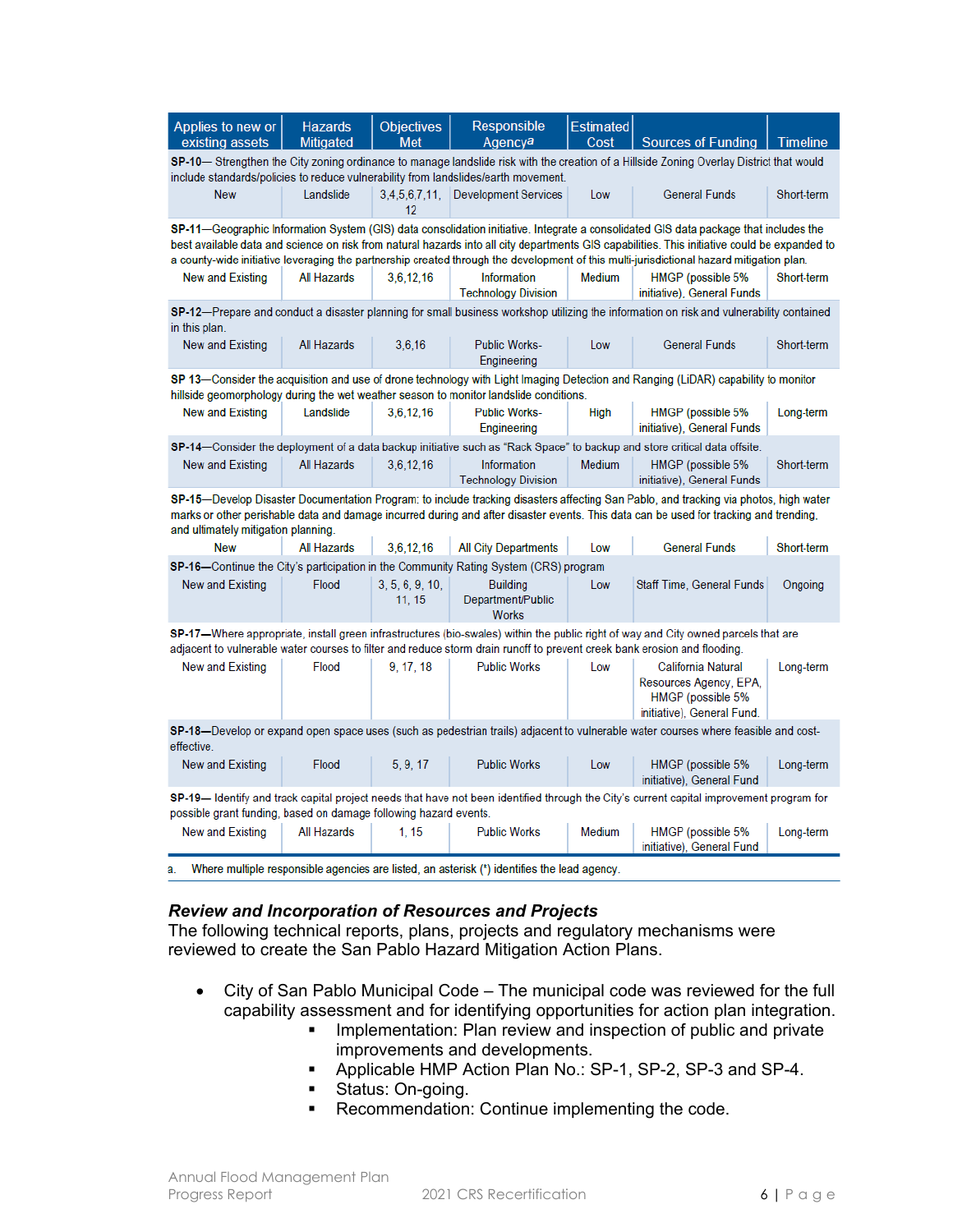| Applies to new or<br>existing assets                                                                                                                                                                                                                                                                                                                                                                                              | <b>Hazards</b><br><b>Mitigated</b> | <b>Objectives</b><br>Met | <b>Responsible</b><br>Agencya                                                                                                                | <b>Estimated</b><br>Cost | Sources of Funding                                                                                                                                                                                                                                                            | <b>Timeline</b> |  |  |
|-----------------------------------------------------------------------------------------------------------------------------------------------------------------------------------------------------------------------------------------------------------------------------------------------------------------------------------------------------------------------------------------------------------------------------------|------------------------------------|--------------------------|----------------------------------------------------------------------------------------------------------------------------------------------|--------------------------|-------------------------------------------------------------------------------------------------------------------------------------------------------------------------------------------------------------------------------------------------------------------------------|-----------------|--|--|
| SP-10— Strengthen the City zoning ordinance to manage landslide risk with the creation of a Hillside Zoning Overlay District that would<br>include standards/policies to reduce vulnerability from landslides/earth movement.                                                                                                                                                                                                     |                                    |                          |                                                                                                                                              |                          |                                                                                                                                                                                                                                                                               |                 |  |  |
| <b>New</b>                                                                                                                                                                                                                                                                                                                                                                                                                        | Landslide                          | 3,4,5,6,7,11,<br>12      | <b>Development Services</b>                                                                                                                  | Low                      | <b>General Funds</b>                                                                                                                                                                                                                                                          | Short-term      |  |  |
| SP-11—Geographic Information System (GIS) data consolidation initiative. Integrate a consolidated GIS data package that includes the<br>best available data and science on risk from natural hazards into all city departments GIS capabilities. This initiative could be expanded to<br>a county-wide initiative leveraging the partnership created through the development of this multi-jurisdictional hazard mitigation plan. |                                    |                          |                                                                                                                                              |                          |                                                                                                                                                                                                                                                                               |                 |  |  |
| New and Existing                                                                                                                                                                                                                                                                                                                                                                                                                  | All Hazards                        | 3,6,12,16                | Information<br><b>Technology Division</b>                                                                                                    | <b>Medium</b>            | HMGP (possible 5%<br>initiative), General Funds                                                                                                                                                                                                                               | Short-term      |  |  |
| in this plan.                                                                                                                                                                                                                                                                                                                                                                                                                     |                                    |                          |                                                                                                                                              |                          | SP-12-Prepare and conduct a disaster planning for small business workshop utilizing the information on risk and vulnerability contained                                                                                                                                       |                 |  |  |
| New and Existing                                                                                                                                                                                                                                                                                                                                                                                                                  | All Hazards                        | 3.6.16                   | <b>Public Works-</b><br>Engineering                                                                                                          | Low                      | <b>General Funds</b>                                                                                                                                                                                                                                                          | Short-term      |  |  |
|                                                                                                                                                                                                                                                                                                                                                                                                                                   |                                    |                          | hillside geomorphology during the wet weather season to monitor landslide conditions.                                                        |                          | SP 13-Consider the acquisition and use of drone technology with Light Imaging Detection and Ranging (LiDAR) capability to monitor                                                                                                                                             |                 |  |  |
| New and Existing                                                                                                                                                                                                                                                                                                                                                                                                                  | Landslide                          | 3,6,12,16                | <b>Public Works-</b><br>Engineering                                                                                                          | High                     | HMGP (possible 5%<br>initiative), General Funds                                                                                                                                                                                                                               | Long-term       |  |  |
|                                                                                                                                                                                                                                                                                                                                                                                                                                   |                                    |                          |                                                                                                                                              |                          | SP-14—Consider the deployment of a data backup initiative such as "Rack Space" to backup and store critical data offsite.                                                                                                                                                     |                 |  |  |
| New and Existing                                                                                                                                                                                                                                                                                                                                                                                                                  | All Hazards                        | 3.6.12.16                | Information<br><b>Technology Division</b>                                                                                                    | Medium                   | HMGP (possible 5%<br>initiative), General Funds                                                                                                                                                                                                                               | Short-term      |  |  |
| and ultimately mitigation planning.                                                                                                                                                                                                                                                                                                                                                                                               |                                    |                          |                                                                                                                                              |                          | SP-15—Develop Disaster Documentation Program: to include tracking disasters affecting San Pablo, and tracking via photos, high water<br>marks or other perishable data and damage incurred during and after disaster events. This data can be used for tracking and trending, |                 |  |  |
| <b>New</b>                                                                                                                                                                                                                                                                                                                                                                                                                        | All Hazards                        | 3.6.12.16                | <b>All City Departments</b>                                                                                                                  | Low                      | <b>General Funds</b>                                                                                                                                                                                                                                                          | Short-term      |  |  |
| New and Existing                                                                                                                                                                                                                                                                                                                                                                                                                  | Flood                              | 3, 5, 6, 9, 10,<br>11.15 | SP-16—Continue the City's participation in the Community Rating System (CRS) program<br><b>Building</b><br>Department/Public<br><b>Works</b> | Low                      | <b>Staff Time, General Funds</b>                                                                                                                                                                                                                                              | Ongoing         |  |  |
| SP-17—Where appropriate, install green infrastructures (bio-swales) within the public right of way and City owned parcels that are<br>adjacent to vulnerable water courses to filter and reduce storm drain runoff to prevent creek bank erosion and flooding.                                                                                                                                                                    |                                    |                          |                                                                                                                                              |                          |                                                                                                                                                                                                                                                                               |                 |  |  |
| New and Existing                                                                                                                                                                                                                                                                                                                                                                                                                  | Flood                              | 9, 17, 18                | <b>Public Works</b>                                                                                                                          | Low                      | California Natural<br>Resources Agency, EPA,<br>HMGP (possible 5%<br>initiative), General Fund.                                                                                                                                                                               | Long-term       |  |  |
| SP-18—Develop or expand open space uses (such as pedestrian trails) adjacent to vulnerable water courses where feasible and cost-<br>effective.                                                                                                                                                                                                                                                                                   |                                    |                          |                                                                                                                                              |                          |                                                                                                                                                                                                                                                                               |                 |  |  |
| New and Existing                                                                                                                                                                                                                                                                                                                                                                                                                  | Flood                              | 5.9.17                   | <b>Public Works</b>                                                                                                                          | Low                      | HMGP (possible 5%<br>initiative), General Fund                                                                                                                                                                                                                                | Long-term       |  |  |
| SP-19— Identify and track capital project needs that have not been identified through the City's current capital improvement program for<br>possible grant funding, based on damage following hazard events.                                                                                                                                                                                                                      |                                    |                          |                                                                                                                                              |                          |                                                                                                                                                                                                                                                                               |                 |  |  |
| New and Existing                                                                                                                                                                                                                                                                                                                                                                                                                  | All Hazards                        | 1, 15                    | <b>Public Works</b>                                                                                                                          | Medium                   | HMGP (possible 5%<br>initiative), General Fund                                                                                                                                                                                                                                | Long-term       |  |  |
| a.                                                                                                                                                                                                                                                                                                                                                                                                                                |                                    |                          | Where multiple responsible agencies are listed, an asterisk $(*)$ identifies the lead agency.                                                |                          |                                                                                                                                                                                                                                                                               |                 |  |  |

# *Review and Incorporation of Resources and Projects*

The following technical reports, plans, projects and regulatory mechanisms were reviewed to create the San Pablo Hazard Mitigation Action Plans.

- City of San Pablo Municipal Code The municipal code was reviewed for the full capability assessment and for identifying opportunities for action plan integration.
	- **IMPLEMENTER IMPLEMENT IN THE VIEW AND IMPLICATE IN A PROPERTY IN A PROPERTY IN A PROPERTY IN A PROPERTY IN A PROPERTY IN A PROPERTY IN A PROPERTY IN A PROPERTY IN A PROPERTY IN A PROPERTY IN A PROPERTY IN A PROPERTY IN A** improvements and developments.
	- Applicable HMP Action Plan No.: SP-1, SP-2, SP-3 and SP-4.
	- Status: On-going.
	- **Recommendation: Continue implementing the code.**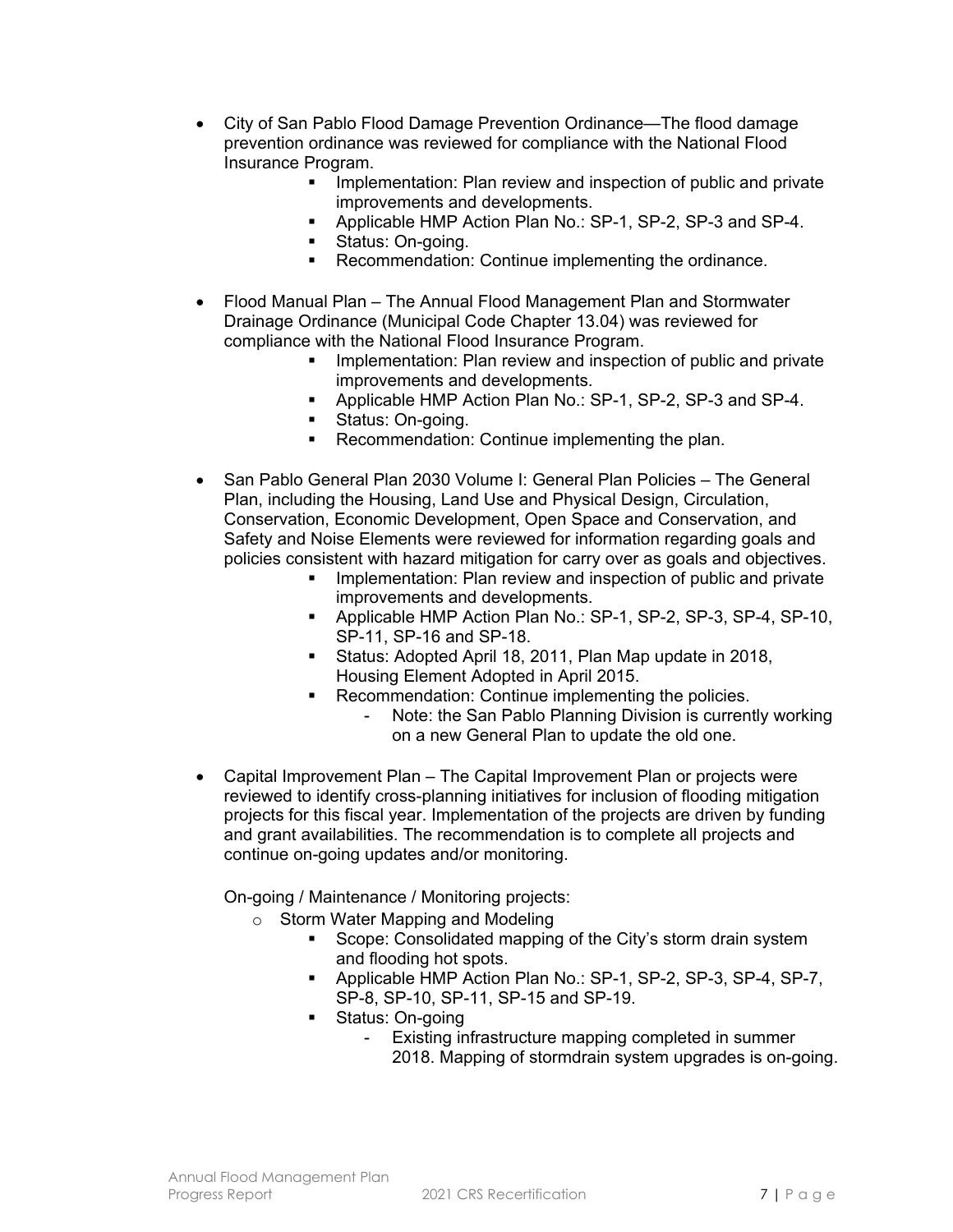- City of San Pablo Flood Damage Prevention Ordinance—The flood damage prevention ordinance was reviewed for compliance with the National Flood Insurance Program.
	- **IMPLEMENTER IMPLEMENT IN THE IMPLEMENT IMPLEMENT IM** Implementation: Plan review and private improvements and developments.
	- Applicable HMP Action Plan No.: SP-1, SP-2, SP-3 and SP-4.
	- **Status: On-going.**
	- **Recommendation: Continue implementing the ordinance.**
- Flood Manual Plan The Annual Flood Management Plan and Stormwater Drainage Ordinance (Municipal Code Chapter 13.04) was reviewed for compliance with the National Flood Insurance Program.
	- **IMPLEMENTER IMPLEMENT IN THE IMPLEMENT IM** Implementation: Plan review and inspection of public and private improvements and developments.
	- Applicable HMP Action Plan No.: SP-1, SP-2, SP-3 and SP-4.
	- Status: On-going.
	- **Recommendation: Continue implementing the plan.**
- San Pablo General Plan 2030 Volume I: General Plan Policies The General Plan, including the Housing, Land Use and Physical Design, Circulation, Conservation, Economic Development, Open Space and Conservation, and Safety and Noise Elements were reviewed for information regarding goals and policies consistent with hazard mitigation for carry over as goals and objectives.
	- **IMPLEMENTER IMPLEMENT IN THE IMPLEMENT IMPLEMENT IMPLY** Implementation: Plan review and private improvements and developments.
	- Applicable HMP Action Plan No.: SP-1, SP-2, SP-3, SP-4, SP-10, SP-11, SP-16 and SP-18.
	- Status: Adopted April 18, 2011, Plan Map update in 2018, Housing Element Adopted in April 2015.
	- **Recommendation: Continue implementing the policies.** - Note: the San Pablo Planning Division is currently working
		- on a new General Plan to update the old one.
- Capital Improvement Plan The Capital Improvement Plan or projects were reviewed to identify cross-planning initiatives for inclusion of flooding mitigation projects for this fiscal year. Implementation of the projects are driven by funding and grant availabilities. The recommendation is to complete all projects and continue on-going updates and/or monitoring.

On-going / Maintenance / Monitoring projects:

- o Storm Water Mapping and Modeling
	- Scope: Consolidated mapping of the City's storm drain system and flooding hot spots.
	- Applicable HMP Action Plan No.: SP-1, SP-2, SP-3, SP-4, SP-7, SP-8, SP-10, SP-11, SP-15 and SP-19.
	- Status: On-going
		- Existing infrastructure mapping completed in summer 2018. Mapping of stormdrain system upgrades is on-going.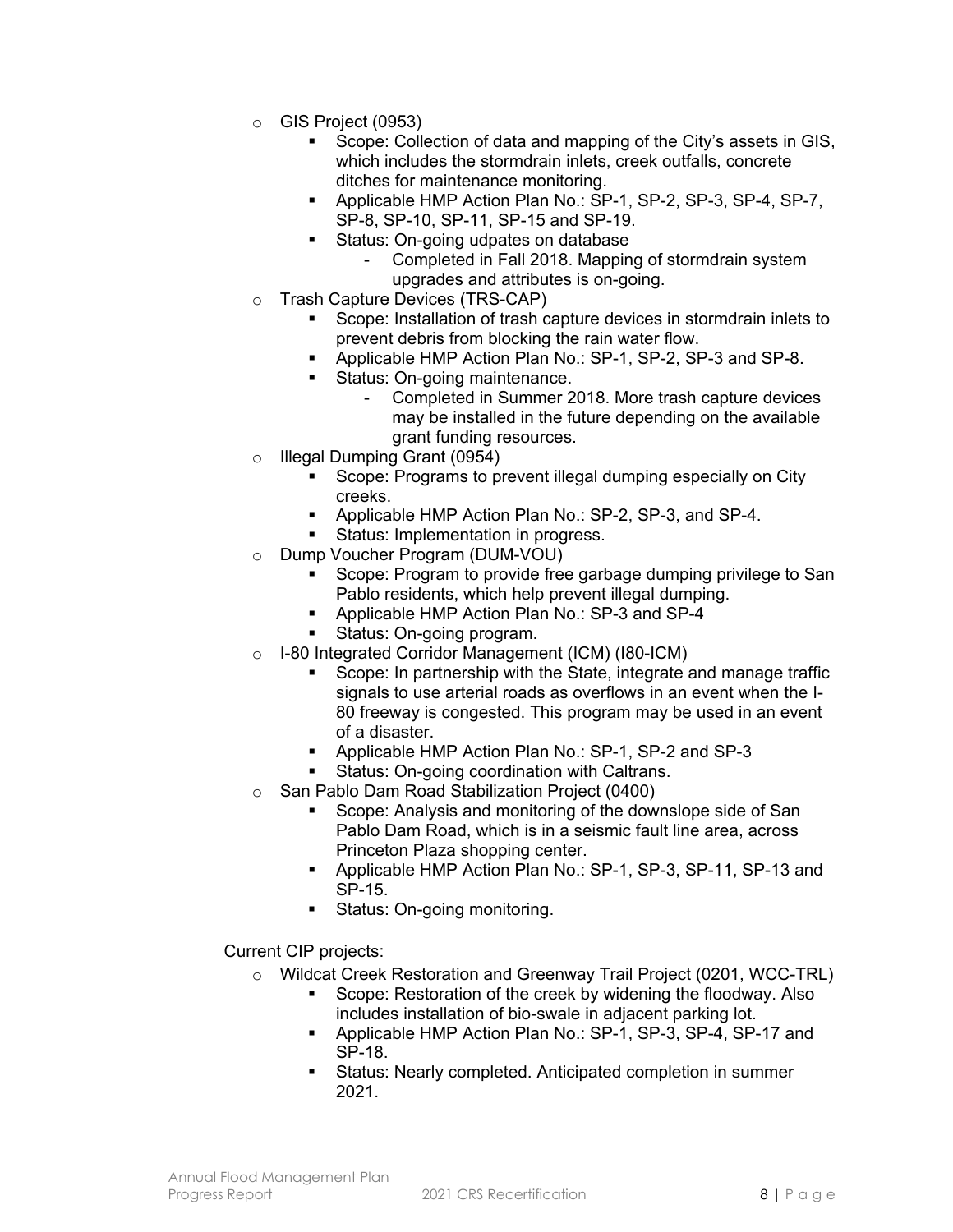- o GIS Project (0953)
	- Scope: Collection of data and mapping of the City's assets in GIS, which includes the stormdrain inlets, creek outfalls, concrete ditches for maintenance monitoring.
	- Applicable HMP Action Plan No.: SP-1, SP-2, SP-3, SP-4, SP-7, SP-8, SP-10, SP-11, SP-15 and SP-19.
	- Status: On-going udpates on database
		- Completed in Fall 2018. Mapping of stormdrain system upgrades and attributes is on-going.
- o Trash Capture Devices (TRS-CAP)
	- Scope: Installation of trash capture devices in stormdrain inlets to prevent debris from blocking the rain water flow.
	- **-** Applicable HMP Action Plan No.: SP-1, SP-2, SP-3 and SP-8.
	- **Status: On-going maintenance.** 
		- Completed in Summer 2018. More trash capture devices may be installed in the future depending on the available grant funding resources.
- o Illegal Dumping Grant (0954)
	- **Scope: Programs to prevent illegal dumping especially on City** creeks.
	- **Applicable HMP Action Plan No.: SP-2, SP-3, and SP-4.**
	- **Status: Implementation in progress.**
- o Dump Voucher Program (DUM-VOU)
	- Scope: Program to provide free garbage dumping privilege to San Pablo residents, which help prevent illegal dumping.
	- **-** Applicable HMP Action Plan No.: SP-3 and SP-4
	- **Status: On-going program.**
- o I-80 Integrated Corridor Management (ICM) (I80-ICM)
	- Scope: In partnership with the State, integrate and manage traffic signals to use arterial roads as overflows in an event when the I-80 freeway is congested. This program may be used in an event of a disaster.
	- Applicable HMP Action Plan No.: SP-1, SP-2 and SP-3
	- **Status: On-going coordination with Caltrans.**
- San Pablo Dam Road Stabilization Project (0400)
	- Scope: Analysis and monitoring of the downslope side of San Pablo Dam Road, which is in a seismic fault line area, across Princeton Plaza shopping center.
	- **Applicable HMP Action Plan No.: SP-1, SP-3, SP-11, SP-13 and** SP-15.
	- **Status: On-going monitoring.**

Current CIP projects:

- o Wildcat Creek Restoration and Greenway Trail Project (0201, WCC-TRL)
	- Scope: Restoration of the creek by widening the floodway. Also includes installation of bio-swale in adjacent parking lot.
	- **•** Applicable HMP Action Plan No.: SP-1, SP-3, SP-4, SP-17 and SP-18.
	- Status: Nearly completed. Anticipated completion in summer 2021.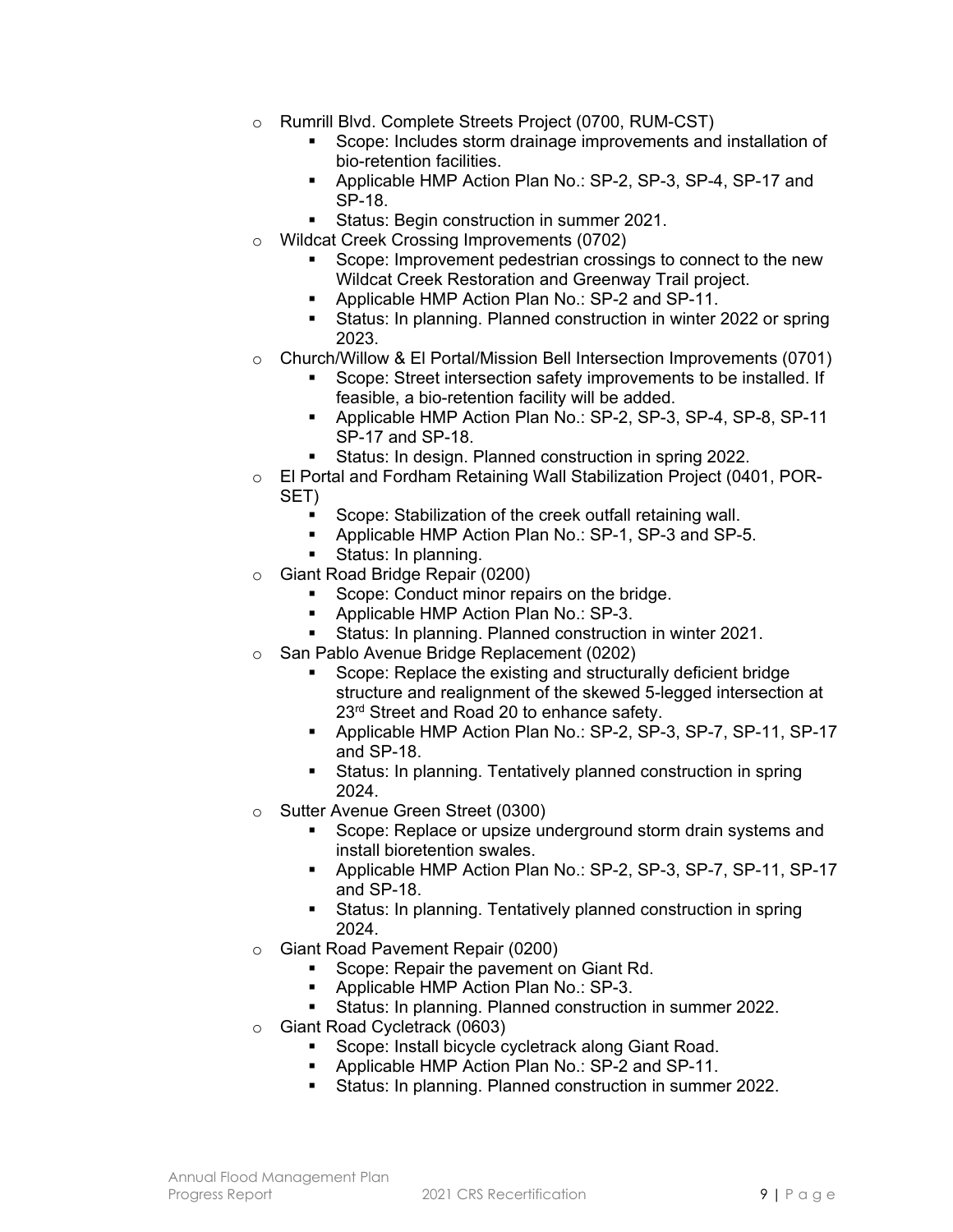- o Rumrill Blvd. Complete Streets Project (0700, RUM-CST)
	- Scope: Includes storm drainage improvements and installation of bio-retention facilities.
	- Applicable HMP Action Plan No.: SP-2, SP-3, SP-4, SP-17 and SP-18.
	- **Status: Begin construction in summer 2021.**
- Wildcat Creek Crossing Improvements (0702)
	- Scope: Improvement pedestrian crossings to connect to the new Wildcat Creek Restoration and Greenway Trail project.
	- **Applicable HMP Action Plan No.: SP-2 and SP-11.**
	- Status: In planning. Planned construction in winter 2022 or spring 2023.
- o Church/Willow & El Portal/Mission Bell Intersection Improvements (0701)
	- **Scope: Street intersection safety improvements to be installed. If** feasible, a bio-retention facility will be added.
	- **-** Applicable HMP Action Plan No.: SP-2, SP-3, SP-4, SP-8, SP-11 SP-17 and SP-18.
	- Status: In design. Planned construction in spring 2022.
- o El Portal and Fordham Retaining Wall Stabilization Project (0401, POR-SET)
	- Scope: Stabilization of the creek outfall retaining wall.
	- **Applicable HMP Action Plan No.: SP-1, SP-3 and SP-5.**
	- Status: In planning.
- o Giant Road Bridge Repair (0200)
	- Scope: Conduct minor repairs on the bridge.
	- **Applicable HMP Action Plan No.: SP-3.**
	- Status: In planning. Planned construction in winter 2021.
- o San Pablo Avenue Bridge Replacement (0202)
	- Scope: Replace the existing and structurally deficient bridge structure and realignment of the skewed 5-legged intersection at 23<sup>rd</sup> Street and Road 20 to enhance safety.
	- Applicable HMP Action Plan No.: SP-2, SP-3, SP-7, SP-11, SP-17 and SP-18.
	- Status: In planning. Tentatively planned construction in spring 2024.
- o Sutter Avenue Green Street (0300)
	- Scope: Replace or upsize underground storm drain systems and install bioretention swales.
	- Applicable HMP Action Plan No.: SP-2, SP-3, SP-7, SP-11, SP-17 and SP-18.
	- Status: In planning. Tentatively planned construction in spring 2024.
- o Giant Road Pavement Repair (0200)
	- Scope: Repair the pavement on Giant Rd.
	- **Applicable HMP Action Plan No.: SP-3.**
	- **Status: In planning. Planned construction in summer 2022.**
- o Giant Road Cycletrack (0603)
	- **Scope: Install bicycle cycletrack along Giant Road.**
	- **Applicable HMP Action Plan No.: SP-2 and SP-11.**
	- Status: In planning. Planned construction in summer 2022.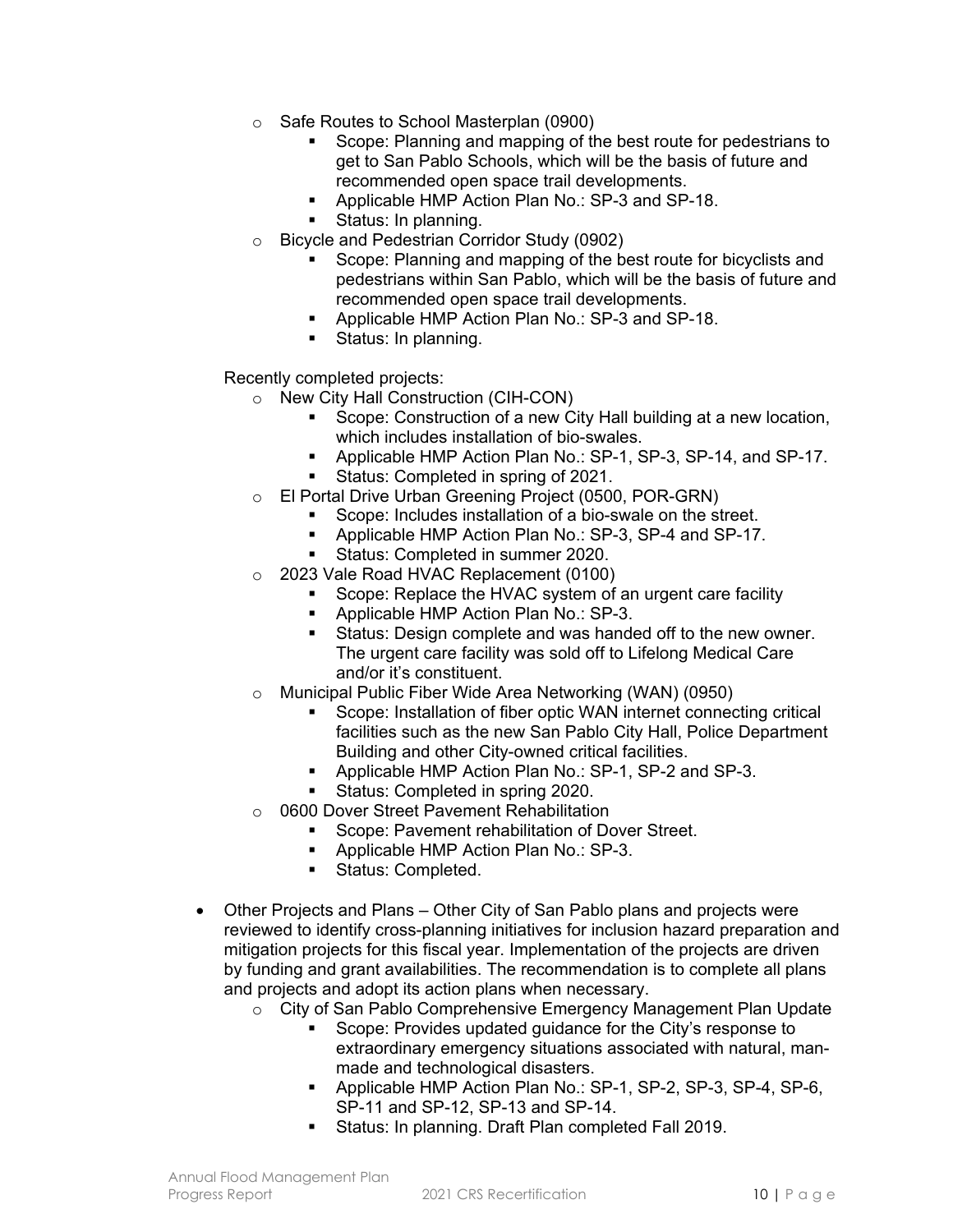- o Safe Routes to School Masterplan (0900)
	- Scope: Planning and mapping of the best route for pedestrians to get to San Pablo Schools, which will be the basis of future and recommended open space trail developments.
	- **Applicable HMP Action Plan No.: SP-3 and SP-18.**
	- **Status: In planning.**
- Bicycle and Pedestrian Corridor Study (0902)
	- Scope: Planning and mapping of the best route for bicyclists and pedestrians within San Pablo, which will be the basis of future and recommended open space trail developments.
	- **Applicable HMP Action Plan No.: SP-3 and SP-18.**
	- Status: In planning.

Recently completed projects:

- o New City Hall Construction (CIH-CON)
	- Scope: Construction of a new City Hall building at a new location, which includes installation of bio-swales.
	- **-** Applicable HMP Action Plan No.: SP-1, SP-3, SP-14, and SP-17.
	- Status: Completed in spring of 2021.
- o El Portal Drive Urban Greening Project (0500, POR-GRN)
	- Scope: Includes installation of a bio-swale on the street.
	- **-** Applicable HMP Action Plan No.: SP-3, SP-4 and SP-17.
	- **Status: Completed in summer 2020.**
- o 2023 Vale Road HVAC Replacement (0100)
	- **Scope: Replace the HVAC system of an urgent care facility**
	- **Applicable HMP Action Plan No.: SP-3.**
	- **Status: Design complete and was handed off to the new owner.** The urgent care facility was sold off to Lifelong Medical Care and/or it's constituent.
- Municipal Public Fiber Wide Area Networking (WAN) (0950)
	- Scope: Installation of fiber optic WAN internet connecting critical facilities such as the new San Pablo City Hall, Police Department Building and other City-owned critical facilities.
	- **Applicable HMP Action Plan No.: SP-1, SP-2 and SP-3.**
	- Status: Completed in spring 2020.
- o 0600 Dover Street Pavement Rehabilitation
	- **Scope: Pavement rehabilitation of Dover Street.**
	- **Applicable HMP Action Plan No.: SP-3.**
	- **Status: Completed.**
- Other Projects and Plans Other City of San Pablo plans and projects were reviewed to identify cross-planning initiatives for inclusion hazard preparation and mitigation projects for this fiscal year. Implementation of the projects are driven by funding and grant availabilities. The recommendation is to complete all plans and projects and adopt its action plans when necessary.
	- $\circ$  City of San Pablo Comprehensive Emergency Management Plan Update
		- Scope: Provides updated guidance for the City's response to extraordinary emergency situations associated with natural, manmade and technological disasters.
		- Applicable HMP Action Plan No.: SP-1, SP-2, SP-3, SP-4, SP-6, SP-11 and SP-12, SP-13 and SP-14.
		- **Status: In planning. Draft Plan completed Fall 2019.**